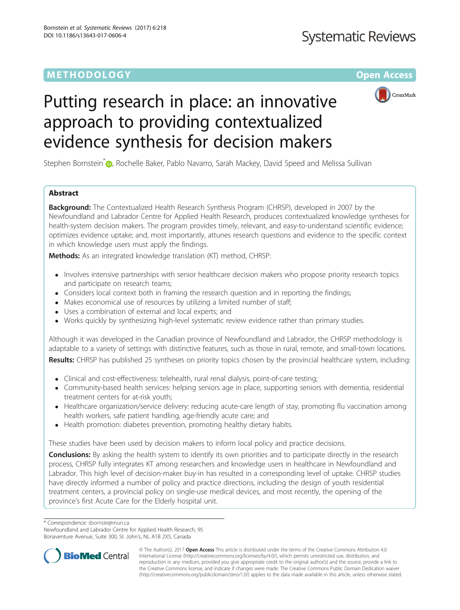# METHODOLOGY CONTROL CONTROL CONTROL CONTROL CONTROL CONTROL CONTROL CONTROL CONTROL CONTROL CONTROL CONTROL CO



# Putting research in place: an innovative approach to providing contextualized evidence synthesis for decision makers

Stephen Bornstein<sup>\*</sup><sup>1</sup>, Rochelle Baker, Pablo Navarro, Sarah Mackey, David Speed and Melissa Sullivan

# Abstract

**Background:** The Contextualized Health Research Synthesis Program (CHRSP), developed in 2007 by the Newfoundland and Labrador Centre for Applied Health Research, produces contextualized knowledge syntheses for health-system decision makers. The program provides timely, relevant, and easy-to-understand scientific evidence; optimizes evidence uptake; and, most importantly, attunes research questions and evidence to the specific context in which knowledge users must apply the findings.

Methods: As an integrated knowledge translation (KT) method, CHRSP:

- Involves intensive partnerships with senior healthcare decision makers who propose priority research topics and participate on research teams;
- Considers local context both in framing the research question and in reporting the findings;
- Makes economical use of resources by utilizing a limited number of staff;
- Uses a combination of external and local experts; and
- Works quickly by synthesizing high-level systematic review evidence rather than primary studies.

Although it was developed in the Canadian province of Newfoundland and Labrador, the CHRSP methodology is adaptable to a variety of settings with distinctive features, such as those in rural, remote, and small-town locations. Results: CHRSP has published 25 syntheses on priority topics chosen by the provincial healthcare system, including:

- Clinical and cost-effectiveness: telehealth, rural renal dialysis, point-of-care testing;
- Community-based health services: helping seniors age in place, supporting seniors with dementia, residential treatment centers for at-risk youth;
- Healthcare organization/service delivery: reducing acute-care length of stay, promoting flu vaccination among health workers, safe patient handling, age-friendly acute care; and
- Health promotion: diabetes prevention, promoting healthy dietary habits.

These studies have been used by decision makers to inform local policy and practice decisions.

**Conclusions:** By asking the health system to identify its own priorities and to participate directly in the research process, CHRSP fully integrates KT among researchers and knowledge users in healthcare in Newfoundland and Labrador. This high level of decision-maker buy-in has resulted in a corresponding level of uptake. CHRSP studies have directly informed a number of policy and practice directions, including the design of youth residential treatment centers, a provincial policy on single-use medical devices, and most recently, the opening of the province's first Acute Care for the Elderly hospital unit.

\* Correspondence: [sbornste@mun.ca](mailto:sbornste@mun.ca)

Newfoundland and Labrador Centre for Applied Health Research, 95 Bonaventure Avenue, Suite 300, St. John's, NL A1B 2X5, Canada



© The Author(s). 2017 **Open Access** This article is distributed under the terms of the Creative Commons Attribution 4.0 International License [\(http://creativecommons.org/licenses/by/4.0/](http://creativecommons.org/licenses/by/4.0/)), which permits unrestricted use, distribution, and reproduction in any medium, provided you give appropriate credit to the original author(s) and the source, provide a link to the Creative Commons license, and indicate if changes were made. The Creative Commons Public Domain Dedication waiver [\(http://creativecommons.org/publicdomain/zero/1.0/](http://creativecommons.org/publicdomain/zero/1.0/)) applies to the data made available in this article, unless otherwise stated.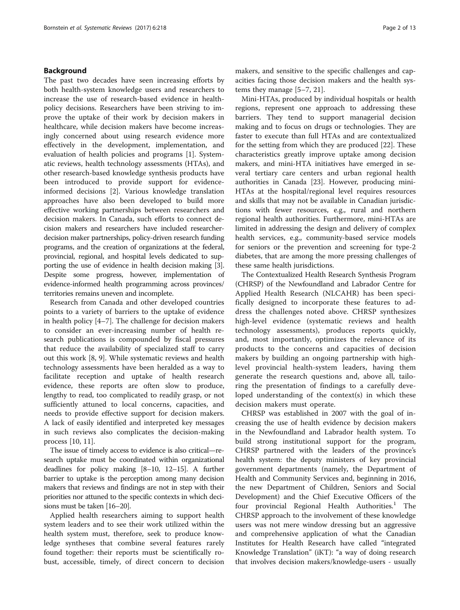## Background

The past two decades have seen increasing efforts by both health-system knowledge users and researchers to increase the use of research-based evidence in healthpolicy decisions. Researchers have been striving to improve the uptake of their work by decision makers in healthcare, while decision makers have become increasingly concerned about using research evidence more effectively in the development, implementation, and evaluation of health policies and programs [[1\]](#page-11-0). Systematic reviews, health technology assessments (HTAs), and other research-based knowledge synthesis products have been introduced to provide support for evidenceinformed decisions [[2\]](#page-11-0). Various knowledge translation approaches have also been developed to build more effective working partnerships between researchers and decision makers. In Canada, such efforts to connect decision makers and researchers have included researcherdecision maker partnerships, policy-driven research funding programs, and the creation of organizations at the federal, provincial, regional, and hospital levels dedicated to supporting the use of evidence in health decision making [[3](#page-11-0)]. Despite some progress, however, implementation of evidence-informed health programming across provinces/ territories remains uneven and incomplete.

Research from Canada and other developed countries points to a variety of barriers to the uptake of evidence in health policy [[4](#page-11-0)–[7\]](#page-11-0). The challenge for decision makers to consider an ever-increasing number of health research publications is compounded by fiscal pressures that reduce the availability of specialized staff to carry out this work [[8, 9\]](#page-11-0). While systematic reviews and health technology assessments have been heralded as a way to facilitate reception and uptake of health research evidence, these reports are often slow to produce, lengthy to read, too complicated to readily grasp, or not sufficiently attuned to local concerns, capacities, and needs to provide effective support for decision makers. A lack of easily identified and interpreted key messages in such reviews also complicates the decision-making process [\[10](#page-11-0), [11\]](#page-11-0).

The issue of timely access to evidence is also critical—research uptake must be coordinated within organizational deadlines for policy making [\[8](#page-11-0)–[10](#page-11-0), [12](#page-11-0)–[15](#page-11-0)]. A further barrier to uptake is the perception among many decision makers that reviews and findings are not in step with their priorities nor attuned to the specific contexts in which decisions must be taken [\[16](#page-11-0)–[20\]](#page-11-0).

Applied health researchers aiming to support health system leaders and to see their work utilized within the health system must, therefore, seek to produce knowledge syntheses that combine several features rarely found together: their reports must be scientifically robust, accessible, timely, of direct concern to decision makers, and sensitive to the specific challenges and capacities facing those decision makers and the health systems they manage [\[5](#page-11-0)–[7, 21\]](#page-11-0).

Mini-HTAs, produced by individual hospitals or health regions, represent one approach to addressing these barriers. They tend to support managerial decision making and to focus on drugs or technologies. They are faster to execute than full HTAs and are contextualized for the setting from which they are produced [\[22\]](#page-11-0). These characteristics greatly improve uptake among decision makers, and mini-HTA initiatives have emerged in several tertiary care centers and urban regional health authorities in Canada [[23](#page-11-0)]. However, producing mini-HTAs at the hospital/regional level requires resources and skills that may not be available in Canadian jurisdictions with fewer resources, e.g., rural and northern regional health authorities. Furthermore, mini-HTAs are limited in addressing the design and delivery of complex health services, e.g., community-based service models for seniors or the prevention and screening for type-2 diabetes, that are among the more pressing challenges of these same health jurisdictions.

The Contextualized Health Research Synthesis Program (CHRSP) of the Newfoundland and Labrador Centre for Applied Health Research (NLCAHR) has been specifically designed to incorporate these features to address the challenges noted above. CHRSP synthesizes high-level evidence (systematic reviews and health technology assessments), produces reports quickly, and, most importantly, optimizes the relevance of its products to the concerns and capacities of decision makers by building an ongoing partnership with highlevel provincial health-system leaders, having them generate the research questions and, above all, tailoring the presentation of findings to a carefully developed understanding of the context(s) in which these decision makers must operate.

CHRSP was established in 2007 with the goal of increasing the use of health evidence by decision makers in the Newfoundland and Labrador health system. To build strong institutional support for the program, CHRSP partnered with the leaders of the province's health system: the deputy ministers of key provincial government departments (namely, the Department of Health and Community Services and, beginning in 2016, the new Department of Children, Seniors and Social Development) and the Chief Executive Officers of the four provincial Regional Health Authorities.<sup>1</sup> The CHRSP approach to the involvement of these knowledge users was not mere window dressing but an aggressive and comprehensive application of what the Canadian Institutes for Health Research have called "integrated Knowledge Translation" (iKT): "a way of doing research that involves decision makers/knowledge-users - usually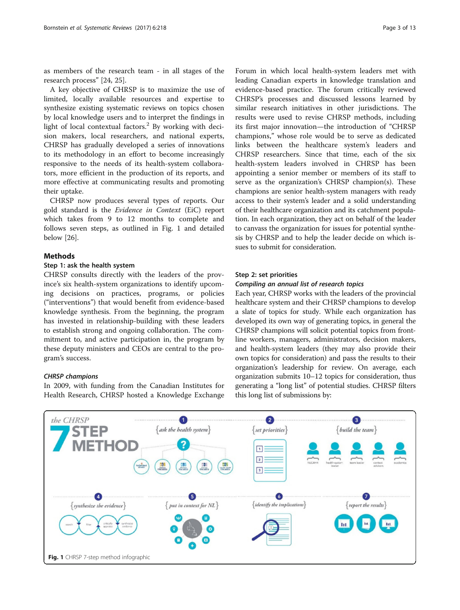as members of the research team - in all stages of the research process" [[24, 25](#page-12-0)].

A key objective of CHRSP is to maximize the use of limited, locally available resources and expertise to synthesize existing systematic reviews on topics chosen by local knowledge users and to interpret the findings in light of local contextual factors.<sup>2</sup> By working with decision makers, local researchers, and national experts, CHRSP has gradually developed a series of innovations to its methodology in an effort to become increasingly responsive to the needs of its health-system collaborators, more efficient in the production of its reports, and more effective at communicating results and promoting their uptake.

CHRSP now produces several types of reports. Our gold standard is the Evidence in Context (EiC) report which takes from 9 to 12 months to complete and follows seven steps, as outlined in Fig. 1 and detailed below [[26\]](#page-12-0).

## Methods

## Step 1: ask the health system

CHRSP consults directly with the leaders of the province's six health-system organizations to identify upcoming decisions on practices, programs, or policies ("interventions") that would benefit from evidence-based knowledge synthesis. From the beginning, the program has invested in relationship-building with these leaders to establish strong and ongoing collaboration. The commitment to, and active participation in, the program by these deputy ministers and CEOs are central to the program's success.

## CHRSP champions

In 2009, with funding from the Canadian Institutes for Health Research, CHRSP hosted a Knowledge Exchange

Forum in which local health-system leaders met with leading Canadian experts in knowledge translation and evidence-based practice. The forum critically reviewed CHRSP's processes and discussed lessons learned by similar research initiatives in other jurisdictions. The results were used to revise CHRSP methods, including its first major innovation—the introduction of "CHRSP champions," whose role would be to serve as dedicated links between the healthcare system's leaders and CHRSP researchers. Since that time, each of the six health-system leaders involved in CHRSP has been appointing a senior member or members of its staff to serve as the organization's CHRSP champion(s). These champions are senior health-system managers with ready access to their system's leader and a solid understanding of their healthcare organization and its catchment population. In each organization, they act on behalf of the leader to canvass the organization for issues for potential synthesis by CHRSP and to help the leader decide on which issues to submit for consideration.

## Step 2: set priorities

### Compiling an annual list of research topics

Each year, CHRSP works with the leaders of the provincial healthcare system and their CHRSP champions to develop a slate of topics for study. While each organization has developed its own way of generating topics, in general the CHRSP champions will solicit potential topics from frontline workers, managers, administrators, decision makers, and health-system leaders (they may also provide their own topics for consideration) and pass the results to their organization's leadership for review. On average, each organization submits 10–12 topics for consideration, thus generating a "long list" of potential studies. CHRSP filters this long list of submissions by:

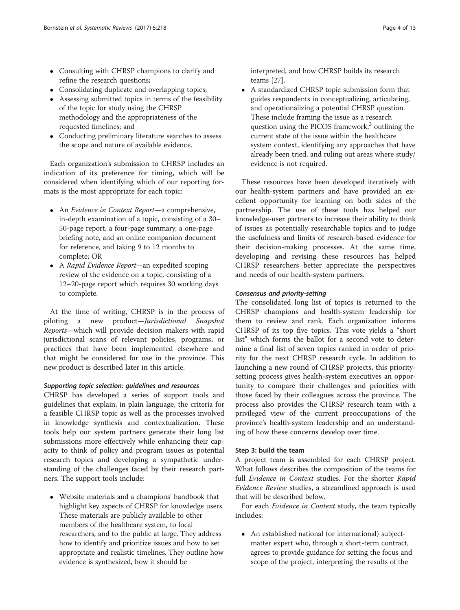- Consulting with CHRSP champions to clarify and refine the research questions;
- Consolidating duplicate and overlapping topics;
- Assessing submitted topics in terms of the feasibility of the topic for study using the CHRSP methodology and the appropriateness of the requested timelines; and
- Conducting preliminary literature searches to assess the scope and nature of available evidence.

Each organization's submission to CHRSP includes an indication of its preference for timing, which will be considered when identifying which of our reporting formats is the most appropriate for each topic:

- An Evidence in Context Report—a comprehensive, in-depth examination of a topic, consisting of a 30– 50-page report, a four-page summary, a one-page briefing note, and an online companion document for reference, and taking 9 to 12 months to complete; OR
- <sup>A</sup> Rapid Evidence Report—an expedited scoping review of the evidence on a topic, consisting of a 12–20-page report which requires 30 working days to complete.

At the time of writing, CHRSP is in the process of piloting a new product—Jurisdictional Snapshot Reports—which will provide decision makers with rapid jurisdictional scans of relevant policies, programs, or practices that have been implemented elsewhere and that might be considered for use in the province. This new product is described later in this article.

## Supporting topic selection: guidelines and resources

CHRSP has developed a series of support tools and guidelines that explain, in plain language, the criteria for a feasible CHRSP topic as well as the processes involved in knowledge synthesis and contextualization. These tools help our system partners generate their long list submissions more effectively while enhancing their capacity to think of policy and program issues as potential research topics and developing a sympathetic understanding of the challenges faced by their research partners. The support tools include:

 Website materials and a champions' handbook that highlight key aspects of CHRSP for knowledge users. These materials are publicly available to other members of the healthcare system, to local researchers, and to the public at large. They address how to identify and prioritize issues and how to set appropriate and realistic timelines. They outline how evidence is synthesized, how it should be

interpreted, and how CHRSP builds its research teams [\[27\]](#page-12-0).

 A standardized CHRSP topic submission form that guides respondents in conceptualizing, articulating, and operationalizing a potential CHRSP question. These include framing the issue as a research question using the PICOS framework, $3$  outlining the current state of the issue within the healthcare system context, identifying any approaches that have already been tried, and ruling out areas where study/ evidence is not required.

These resources have been developed iteratively with our health-system partners and have provided an excellent opportunity for learning on both sides of the partnership. The use of these tools has helped our knowledge-user partners to increase their ability to think of issues as potentially researchable topics and to judge the usefulness and limits of research-based evidence for their decision-making processes. At the same time, developing and revising these resources has helped CHRSP researchers better appreciate the perspectives and needs of our health-system partners.

## Consensus and priority-setting

The consolidated long list of topics is returned to the CHRSP champions and health-system leadership for them to review and rank. Each organization informs CHRSP of its top five topics. This vote yields a "short list" which forms the ballot for a second vote to determine a final list of seven topics ranked in order of priority for the next CHRSP research cycle. In addition to launching a new round of CHRSP projects, this prioritysetting process gives health-system executives an opportunity to compare their challenges and priorities with those faced by their colleagues across the province. The process also provides the CHRSP research team with a privileged view of the current preoccupations of the province's health-system leadership and an understanding of how these concerns develop over time.

## Step 3: build the team

A project team is assembled for each CHRSP project. What follows describes the composition of the teams for full Evidence in Context studies. For the shorter Rapid Evidence Review studies, a streamlined approach is used that will be described below.

For each *Evidence in Context* study, the team typically includes:

 An established national (or international) subjectmatter expert who, through a short-term contract, agrees to provide guidance for setting the focus and scope of the project, interpreting the results of the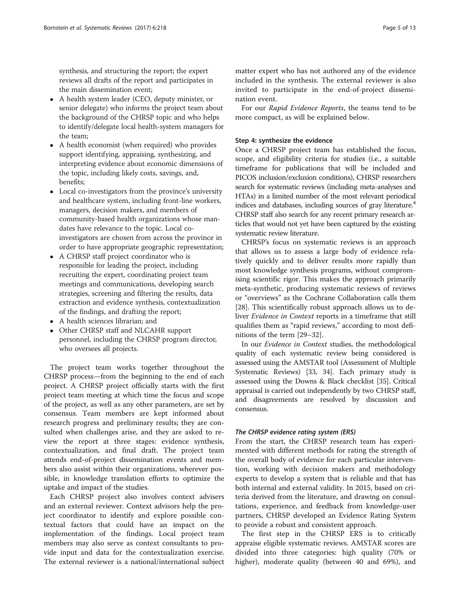synthesis, and structuring the report; the expert reviews all drafts of the report and participates in the main dissemination event;

- A health system leader (CEO, deputy minister, or senior delegate) who informs the project team about the background of the CHRSP topic and who helps to identify/delegate local health-system managers for the team;
- A health economist (when required) who provides support identifying, appraising, synthesizing, and interpreting evidence about economic dimensions of the topic, including likely costs, savings, and, benefits;
- Local co-investigators from the province's university and healthcare system, including front-line workers, managers, decision makers, and members of community-based health organizations whose mandates have relevance to the topic. Local coinvestigators are chosen from across the province in order to have appropriate geographic representation;
- A CHRSP staff project coordinator who is responsible for leading the project, including recruiting the expert, coordinating project team meetings and communications, developing search strategies, screening and filtering the results, data extraction and evidence synthesis, contextualization of the findings, and drafting the report;
- A health sciences librarian; and
- Other CHRSP staff and NLCAHR support personnel, including the CHRSP program director, who oversees all projects.

The project team works together throughout the CHRSP process—from the beginning to the end of each project. A CHRSP project officially starts with the first project team meeting at which time the focus and scope of the project, as well as any other parameters, are set by consensus. Team members are kept informed about research progress and preliminary results; they are consulted when challenges arise, and they are asked to review the report at three stages: evidence synthesis, contextualization, and final draft. The project team attends end-of-project dissemination events and members also assist within their organizations, wherever possible, in knowledge translation efforts to optimize the uptake and impact of the studies.

Each CHRSP project also involves context advisers and an external reviewer. Context advisors help the project coordinator to identify and explore possible contextual factors that could have an impact on the implementation of the findings. Local project team members may also serve as context consultants to provide input and data for the contextualization exercise. The external reviewer is a national/international subject

matter expert who has not authored any of the evidence included in the synthesis. The external reviewer is also invited to participate in the end-of-project dissemination event.

For our Rapid Evidence Reports, the teams tend to be more compact, as will be explained below.

## Step 4: synthesize the evidence

Once a CHRSP project team has established the focus, scope, and eligibility criteria for studies (i.e., a suitable timeframe for publications that will be included and PICOS inclusion/exclusion conditions), CHRSP researchers search for systematic reviews (including meta-analyses and HTAs) in a limited number of the most relevant periodical indices and databases, including sources of gray literature.<sup>4</sup> CHRSP staff also search for any recent primary research articles that would not yet have been captured by the existing systematic review literature.

CHRSP's focus on systematic reviews is an approach that allows us to assess a large body of evidence relatively quickly and to deliver results more rapidly than most knowledge synthesis programs, without compromising scientific rigor. This makes the approach primarily meta-synthetic, producing systematic reviews of reviews or "overviews" as the Cochrane Collaboration calls them [[28\]](#page-12-0). This scientifically robust approach allows us to deliver Evidence in Context reports in a timeframe that still qualifies them as "rapid reviews," according to most definitions of the term [[29](#page-12-0)–[32\]](#page-12-0).

In our Evidence in Context studies, the methodological quality of each systematic review being considered is assessed using the AMSTAR tool (Assessment of Multiple Systematic Reviews) [\[33, 34](#page-12-0)]. Each primary study is assessed using the Downs & Black checklist [[35\]](#page-12-0). Critical appraisal is carried out independently by two CHRSP staff, and disagreements are resolved by discussion and consensus.

## The CHRSP evidence rating system (ERS)

From the start, the CHRSP research team has experimented with different methods for rating the strength of the overall body of evidence for each particular intervention, working with decision makers and methodology experts to develop a system that is reliable and that has both internal and external validity. In 2015, based on criteria derived from the literature, and drawing on consultations, experience, and feedback from knowledge-user partners, CHRSP developed an Evidence Rating System to provide a robust and consistent approach.

The first step in the CHRSP ERS is to critically appraise eligible systematic reviews. AMSTAR scores are divided into three categories: high quality (70% or higher), moderate quality (between 40 and 69%), and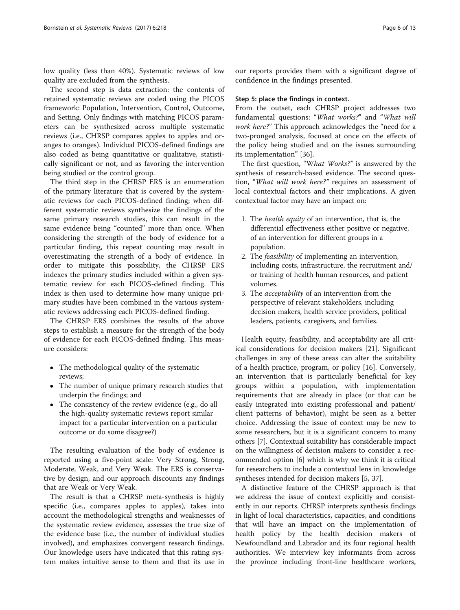low quality (less than 40%). Systematic reviews of low quality are excluded from the synthesis.

The second step is data extraction: the contents of retained systematic reviews are coded using the PICOS framework: Population, Intervention, Control, Outcome, and Setting. Only findings with matching PICOS parameters can be synthesized across multiple systematic reviews (i.e., CHRSP compares apples to apples and oranges to oranges). Individual PICOS-defined findings are also coded as being quantitative or qualitative, statistically significant or not, and as favoring the intervention being studied or the control group.

The third step in the CHRSP ERS is an enumeration of the primary literature that is covered by the systematic reviews for each PICOS-defined finding; when different systematic reviews synthesize the findings of the same primary research studies, this can result in the same evidence being "counted" more than once. When considering the strength of the body of evidence for a particular finding, this repeat counting may result in overestimating the strength of a body of evidence. In order to mitigate this possibility, the CHRSP ERS indexes the primary studies included within a given systematic review for each PICOS-defined finding. This index is then used to determine how many unique primary studies have been combined in the various systematic reviews addressing each PICOS-defined finding.

The CHRSP ERS combines the results of the above steps to establish a measure for the strength of the body of evidence for each PICOS-defined finding. This measure considers:

- The methodological quality of the systematic reviews;
- The number of unique primary research studies that underpin the findings; and
- The consistency of the review evidence (e.g., do all the high-quality systematic reviews report similar impact for a particular intervention on a particular outcome or do some disagree?)

The resulting evaluation of the body of evidence is reported using a five-point scale: Very Strong, Strong, Moderate, Weak, and Very Weak. The ERS is conservative by design, and our approach discounts any findings that are Weak or Very Weak.

The result is that a CHRSP meta-synthesis is highly specific (i.e., compares apples to apples), takes into account the methodological strengths and weaknesses of the systematic review evidence, assesses the true size of the evidence base (i.e., the number of individual studies involved), and emphasizes convergent research findings. Our knowledge users have indicated that this rating system makes intuitive sense to them and that its use in

our reports provides them with a significant degree of confidence in the findings presented.

#### Step 5: place the findings in context.

From the outset, each CHRSP project addresses two fundamental questions: "What works?" and "What will work here?" This approach acknowledges the "need for a two-pronged analysis, focused at once on the effects of the policy being studied and on the issues surrounding its implementation" [[36](#page-12-0)].

The first question, "What Works?" is answered by the synthesis of research-based evidence. The second question, "What will work here?" requires an assessment of local contextual factors and their implications. A given contextual factor may have an impact on:

- 1. The health equity of an intervention, that is, the differential effectiveness either positive or negative, of an intervention for different groups in a population.
- 2. The feasibility of implementing an intervention, including costs, infrastructure, the recruitment and/ or training of health human resources, and patient volumes.
- 3. The acceptability of an intervention from the perspective of relevant stakeholders, including decision makers, health service providers, political leaders, patients, caregivers, and families.

Health equity, feasibility, and acceptability are all critical considerations for decision makers [\[21](#page-11-0)]. Significant challenges in any of these areas can alter the suitability of a health practice, program, or policy [\[16\]](#page-11-0). Conversely, an intervention that is particularly beneficial for key groups within a population, with implementation requirements that are already in place (or that can be easily integrated into existing professional and patient/ client patterns of behavior), might be seen as a better choice. Addressing the issue of context may be new to some researchers, but it is a significant concern to many others [\[7](#page-11-0)]. Contextual suitability has considerable impact on the willingness of decision makers to consider a recommended option [[6\]](#page-11-0) which is why we think it is critical for researchers to include a contextual lens in knowledge syntheses intended for decision makers [\[5](#page-11-0), [37](#page-12-0)].

A distinctive feature of the CHRSP approach is that we address the issue of context explicitly and consistently in our reports. CHRSP interprets synthesis findings in light of local characteristics, capacities, and conditions that will have an impact on the implementation of health policy by the health decision makers of Newfoundland and Labrador and its four regional health authorities. We interview key informants from across the province including front-line healthcare workers,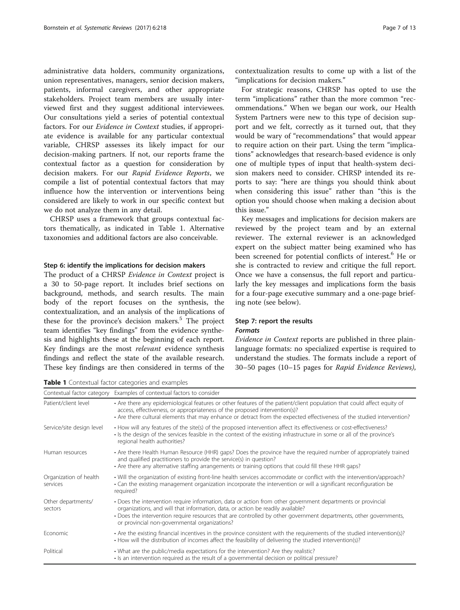administrative data holders, community organizations, union representatives, managers, senior decision makers, patients, informal caregivers, and other appropriate stakeholders. Project team members are usually interviewed first and they suggest additional interviewees. Our consultations yield a series of potential contextual factors. For our Evidence in Context studies, if appropriate evidence is available for any particular contextual variable, CHRSP assesses its likely impact for our decision-making partners. If not, our reports frame the contextual factor as a question for consideration by decision makers. For our Rapid Evidence Reports, we compile a list of potential contextual factors that may influence how the intervention or interventions being considered are likely to work in our specific context but we do not analyze them in any detail.

CHRSP uses a framework that groups contextual factors thematically, as indicated in Table 1. Alternative taxonomies and additional factors are also conceivable.

#### Step 6: identify the implications for decision makers

The product of a CHRSP Evidence in Context project is a 30 to 50-page report. It includes brief sections on background, methods, and search results. The main body of the report focuses on the synthesis, the contextualization, and an analysis of the implications of these for the province's decision makers.<sup>5</sup> The project team identifies "key findings" from the evidence synthesis and highlights these at the beginning of each report. Key findings are the most relevant evidence synthesis findings and reflect the state of the available research. These key findings are then considered in terms of the

Table 1 Contextual factor categories and examples

contextualization results to come up with a list of the "implications for decision makers."

For strategic reasons, CHRSP has opted to use the term "implications" rather than the more common "recommendations." When we began our work, our Health System Partners were new to this type of decision support and we felt, correctly as it turned out, that they would be wary of "recommendations" that would appear to require action on their part. Using the term "implications" acknowledges that research-based evidence is only one of multiple types of input that health-system decision makers need to consider. CHRSP intended its reports to say: "here are things you should think about when considering this issue" rather than "this is the option you should choose when making a decision about this issue."

Key messages and implications for decision makers are reviewed by the project team and by an external reviewer. The external reviewer is an acknowledged expert on the subject matter being examined who has been screened for potential conflicts of interest.<sup>6</sup> He or she is contracted to review and critique the full report. Once we have a consensus, the full report and particularly the key messages and implications form the basis for a four-page executive summary and a one-page briefing note (see below).

## Step 7: report the results Formats

Evidence in Context reports are published in three plainlanguage formats: no specialized expertise is required to understand the studies. The formats include a report of 30–50 pages (10–15 pages for Rapid Evidence Reviews),

|                                    | Contextual factor category Examples of contextual factors to consider                                                                                                                                                                                                                                                                                                |
|------------------------------------|----------------------------------------------------------------------------------------------------------------------------------------------------------------------------------------------------------------------------------------------------------------------------------------------------------------------------------------------------------------------|
| Patient/client level               | • Are there any epidemiological features or other features of the patient/client population that could affect equity of<br>access, effectiveness, or appropriateness of the proposed intervention(s)?<br>• Are there cultural elements that may enhance or detract from the expected effectiveness of the studied intervention?                                      |
| Service/site design level          | • How will any features of the site(s) of the proposed intervention affect its effectiveness or cost-effectiveness?<br>• Is the design of the services feasible in the context of the existing infrastructure in some or all of the province's<br>regional health authorities?                                                                                       |
| Human resources                    | • Are there Health Human Resource (HHR) gaps? Does the province have the required number of appropriately trained<br>and qualified practitioners to provide the service(s) in question?<br>• Are there any alternative staffing arrangements or training options that could fill these HHR gaps?                                                                     |
| Organization of health<br>services | · Will the organization of existing front-line health services accommodate or conflict with the intervention/approach?<br>• Can the existing management organization incorporate the intervention or will a significant reconfiguration be<br>required?                                                                                                              |
| Other departments/<br>sectors      | • Does the intervention require information, data or action from other government departments or provincial<br>organizations, and will that information, data, or action be readily available?<br>• Does the intervention require resources that are controlled by other government departments, other governments,<br>or provincial non-governmental organizations? |
| Economic                           | • Are the existing financial incentives in the province consistent with the requirements of the studied intervention(s)?<br>• How will the distribution of incomes affect the feasibility of delivering the studied intervention(s)?                                                                                                                                 |
| Political                          | • What are the public/media expectations for the intervention? Are they realistic?<br>• Is an intervention required as the result of a governmental decision or political pressure?                                                                                                                                                                                  |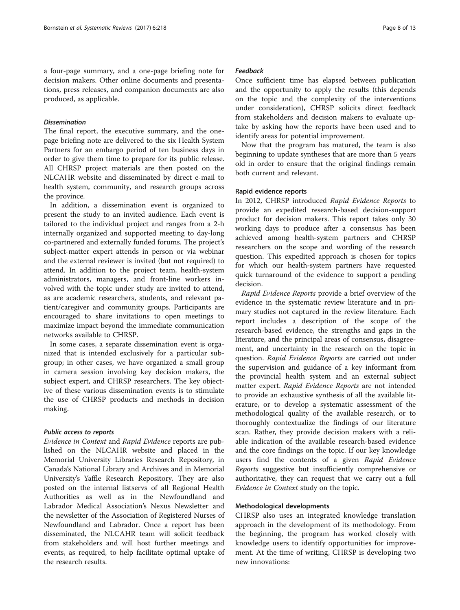a four-page summary, and a one-page briefing note for decision makers. Other online documents and presentations, press releases, and companion documents are also produced, as applicable.

## Dissemination

The final report, the executive summary, and the onepage briefing note are delivered to the six Health System Partners for an embargo period of ten business days in order to give them time to prepare for its public release. All CHRSP project materials are then posted on the NLCAHR website and disseminated by direct e-mail to health system, community, and research groups across the province.

In addition, a dissemination event is organized to present the study to an invited audience. Each event is tailored to the individual project and ranges from a 2-h internally organized and supported meeting to day-long co-partnered and externally funded forums. The project's subject-matter expert attends in person or via webinar and the external reviewer is invited (but not required) to attend. In addition to the project team, health-system administrators, managers, and front-line workers involved with the topic under study are invited to attend, as are academic researchers, students, and relevant patient/caregiver and community groups. Participants are encouraged to share invitations to open meetings to maximize impact beyond the immediate communication networks available to CHRSP.

In some cases, a separate dissemination event is organized that is intended exclusively for a particular subgroup; in other cases, we have organized a small group in camera session involving key decision makers, the subject expert, and CHRSP researchers. The key objective of these various dissemination events is to stimulate the use of CHRSP products and methods in decision making.

## Public access to reports

Evidence in Context and Rapid Evidence reports are published on the NLCAHR website and placed in the Memorial University Libraries Research Repository, in Canada's National Library and Archives and in Memorial University's Yaffle Research Repository. They are also posted on the internal listservs of all Regional Health Authorities as well as in the Newfoundland and Labrador Medical Association's Nexus Newsletter and the newsletter of the Association of Registered Nurses of Newfoundland and Labrador. Once a report has been disseminated, the NLCAHR team will solicit feedback from stakeholders and will host further meetings and events, as required, to help facilitate optimal uptake of the research results.

## Feedback

Once sufficient time has elapsed between publication and the opportunity to apply the results (this depends on the topic and the complexity of the interventions under consideration), CHRSP solicits direct feedback from stakeholders and decision makers to evaluate uptake by asking how the reports have been used and to identify areas for potential improvement.

Now that the program has matured, the team is also beginning to update syntheses that are more than 5 years old in order to ensure that the original findings remain both current and relevant.

## Rapid evidence reports

In 2012, CHRSP introduced Rapid Evidence Reports to provide an expedited research-based decision-support product for decision makers. This report takes only 30 working days to produce after a consensus has been achieved among health-system partners and CHRSP researchers on the scope and wording of the research question. This expedited approach is chosen for topics for which our health-system partners have requested quick turnaround of the evidence to support a pending decision.

Rapid Evidence Reports provide a brief overview of the evidence in the systematic review literature and in primary studies not captured in the review literature. Each report includes a description of the scope of the research-based evidence, the strengths and gaps in the literature, and the principal areas of consensus, disagreement, and uncertainty in the research on the topic in question. Rapid Evidence Reports are carried out under the supervision and guidance of a key informant from the provincial health system and an external subject matter expert. Rapid Evidence Reports are not intended to provide an exhaustive synthesis of all the available literature, or to develop a systematic assessment of the methodological quality of the available research, or to thoroughly contextualize the findings of our literature scan. Rather, they provide decision makers with a reliable indication of the available research-based evidence and the core findings on the topic. If our key knowledge users find the contents of a given Rapid Evidence Reports suggestive but insufficiently comprehensive or authoritative, they can request that we carry out a full Evidence in Context study on the topic.

## Methodological developments

CHRSP also uses an integrated knowledge translation approach in the development of its methodology. From the beginning, the program has worked closely with knowledge users to identify opportunities for improvement. At the time of writing, CHRSP is developing two new innovations: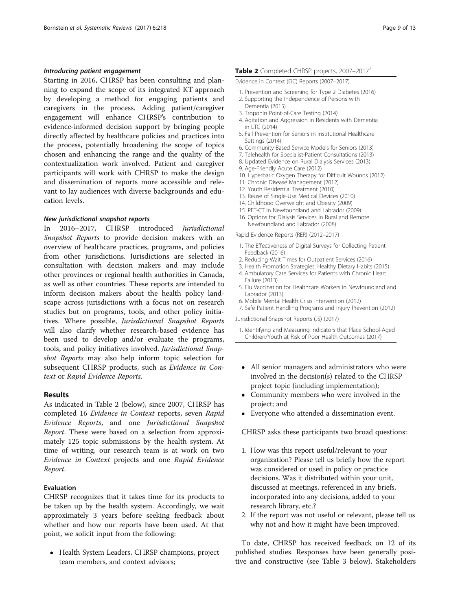### Introducing patient engagement

Starting in 2016, CHRSP has been consulting and planning to expand the scope of its integrated KT approach by developing a method for engaging patients and caregivers in the process. Adding patient/caregiver engagement will enhance CHRSP's contribution to evidence-informed decision support by bringing people directly affected by healthcare policies and practices into the process, potentially broadening the scope of topics chosen and enhancing the range and the quality of the contextualization work involved. Patient and caregiver participants will work with CHRSP to make the design and dissemination of reports more accessible and relevant to lay audiences with diverse backgrounds and education levels.

## New jurisdictional snapshot reports

In 2016–2017, CHRSP introduced Jurisdictional Snapshot Reports to provide decision makers with an overview of healthcare practices, programs, and policies from other jurisdictions. Jurisdictions are selected in consultation with decision makers and may include other provinces or regional health authorities in Canada, as well as other countries. These reports are intended to inform decision makers about the health policy landscape across jurisdictions with a focus not on research studies but on programs, tools, and other policy initiatives. Where possible, Jurisdictional Snapshot Reports will also clarify whether research-based evidence has been used to develop and/or evaluate the programs, tools, and policy initiatives involved. Jurisdictional Snapshot Reports may also help inform topic selection for subsequent CHRSP products, such as Evidence in Context or Rapid Evidence Reports.

## Results

As indicated in Table 2 (below), since 2007, CHRSP has completed 16 Evidence in Context reports, seven Rapid Evidence Reports, and one Jurisdictional Snapshot Report. These were based on a selection from approximately 125 topic submissions by the health system. At time of writing, our research team is at work on two Evidence in Context projects and one Rapid Evidence Report.

## Evaluation

CHRSP recognizes that it takes time for its products to be taken up by the health system. Accordingly, we wait approximately 3 years before seeking feedback about whether and how our reports have been used. At that point, we solicit input from the following:

• Health System Leaders, CHRSP champions, project team members, and context advisors;

## Table 2 Completed CHRSP projects, 2007-2017<sup>7</sup>

Evidence in Context (EiC) Reports (2007–2017)

- 1. Prevention and Screening for Type 2 Diabetes (2016)
- 2. Supporting the Independence of Persons with
- Dementia (2015)
- 3. Troponin Point-of-Care Testing (2014)
- 4. Agitation and Aggression in Residents with Dementia in LTC (2014)
- 5. Fall Prevention for Seniors in Institutional Healthcare Settings (2014)
- 6. Community-Based Service Models for Seniors (2013)
- 7. Telehealth for Specialist-Patient Consultations (2013)
- 8. Updated Evidence on Rural Dialysis Services (2013)
- 9. Age-Friendly Acute Care (2012)
- 10. Hyperbaric Oxygen Therapy for Difficult Wounds (2012)
- 11. Chronic Disease Management (2012)
- 12. Youth Residential Treatment (2010)
- 13. Reuse of Single-Use Medical Devices (2010)
- 14. Childhood Overweight and Obesity (2009)
- 15. PET-CT in Newfoundland and Labrador (2009)
- 16. Options for Dialysis Services in Rural and Remote Newfoundland and Labrador (2008)

Rapid Evidence Reports (RER) (2012–2017)

- 1. The Effectiveness of Digital Surveys for Collecting Patient Feedback (2016)
- 2. Reducing Wait Times for Outpatient Services (2016)
- 3. Health Promotion Strategies: Healthy Dietary Habits (2015)
- 4. Ambulatory Care Services for Patients with Chronic Heart Failure (2013)
- 5. Flu Vaccination for Healthcare Workers in Newfoundland and Labrador (2013)
- 6. Mobile Mental Health Crisis Intervention (2012)
- 7. Safe Patient Handling Programs and Injury Prevention (2012)

Jurisdictional Snapshot Reports (JS) (2017)

- 1. Identifying and Measuring Indicators that Place School-Aged Children/Youth at Risk of Poor Health Outcomes (2017)
- All senior managers and administrators who were involved in the decision(s) related to the CHRSP project topic (including implementation);
- Community members who were involved in the project; and
- Everyone who attended a dissemination event.

CHRSP asks these participants two broad questions:

- 1. How was this report useful/relevant to your organization? Please tell us briefly how the report was considered or used in policy or practice decisions. Was it distributed within your unit, discussed at meetings, referenced in any briefs, incorporated into any decisions, added to your research library, etc.?
- 2. If the report was not useful or relevant, please tell us why not and how it might have been improved.

To date, CHRSP has received feedback on 12 of its published studies. Responses have been generally positive and constructive (see Table [3](#page-9-0) below). Stakeholders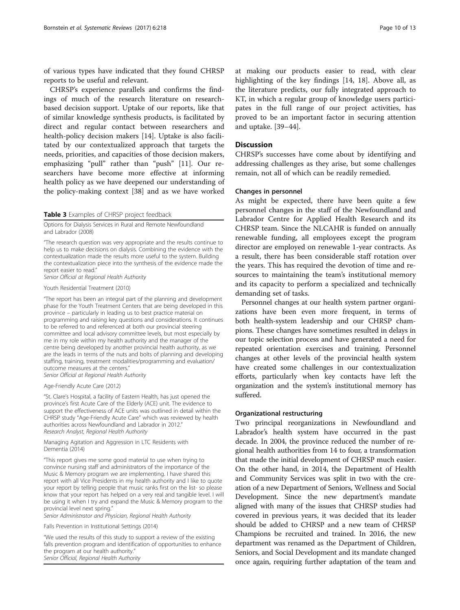<span id="page-9-0"></span>of various types have indicated that they found CHRSP reports to be useful and relevant.

CHRSP's experience parallels and confirms the findings of much of the research literature on researchbased decision support. Uptake of our reports, like that of similar knowledge synthesis products, is facilitated by direct and regular contact between researchers and health-policy decision makers [[14](#page-11-0)]. Uptake is also facilitated by our contextualized approach that targets the needs, priorities, and capacities of those decision makers, emphasizing "pull" rather than "push" [[11](#page-11-0)]. Our researchers have become more effective at informing health policy as we have deepened our understanding of the policy-making context [[38](#page-12-0)] and as we have worked

Table 3 Examples of CHRSP project feedback

Options for Dialysis Services in Rural and Remote Newfoundland and Labrador (2008)

"The research question was very appropriate and the results continue to help us to make decisions on dialysis. Combining the evidence with the contextualization made the results more useful to the system. Building the contextualization piece into the synthesis of the evidence made the report easier to read."

Senior Official at Regional Health Authority

Youth Residential Treatment (2010)

"The report has been an integral part of the planning and development phase for the Youth Treatment Centers that are being developed in this province – particularly in leading us to best practice material on programming and raising key questions and considerations. It continues to be referred to and referenced at both our provincial steering committee and local advisory committee levels, but most especially by me in my role within my health authority and the manager of the centre being developed by another provincial health authority, as we are the leads in terms of the nuts and bolts of planning and developing staffing, training, treatment modalities/programming and evaluation/ outcome measures at the centers." Senior Official at Regional Health Authority

Age-Friendly Acute Care (2012)

"St. Clare's Hospital, a facility of Eastern Health, has just opened the province's first Acute Care of the Elderly (ACE) unit. The evidence to support the effectiveness of ACE units was outlined in detail within the CHRSP study "Age-Friendly Acute Care" which was reviewed by health authorities across Newfoundland and Labrador in 2012." Research Analyst, Regional Health Authority

Managing Agitation and Aggression in LTC Residents with Dementia (2014)

"This report gives me some good material to use when trying to convince nursing staff and administrators of the importance of the Music & Memory program we are implementing. I have shared this report with all Vice Presidents in my health authority and I like to quote your report by telling people that music ranks first on the list- so please know that your report has helped on a very real and tangible level. I will be using it when I try and expand the Music & Memory program to the provincial level next spring."

Senior Administrator and Physician, Regional Health Authority

Falls Prevention in Institutional Settings (2014)

"We used the results of this study to support a review of the existing falls prevention program and identification of opportunities to enhance the program at our health authority." Senior Official, Regional Health Authority

at making our products easier to read, with clear highlighting of the key findings [[14, 18](#page-11-0)]. Above all, as the literature predicts, our fully integrated approach to KT, in which a regular group of knowledge users participates in the full range of our project activities, has proved to be an important factor in securing attention and uptake. [\[39](#page-12-0)–[44\]](#page-12-0).

#### **Discussion**

CHRSP's successes have come about by identifying and addressing challenges as they arise, but some challenges remain, not all of which can be readily remedied.

## Changes in personnel

As might be expected, there have been quite a few personnel changes in the staff of the Newfoundland and Labrador Centre for Applied Health Research and its CHRSP team. Since the NLCAHR is funded on annually renewable funding, all employees except the program director are employed on renewable 1-year contracts. As a result, there has been considerable staff rotation over the years. This has required the devotion of time and resources to maintaining the team's institutional memory and its capacity to perform a specialized and technically demanding set of tasks.

Personnel changes at our health system partner organizations have been even more frequent, in terms of both health-system leadership and our CHRSP champions. These changes have sometimes resulted in delays in our topic selection process and have generated a need for repeated orientation exercises and training. Personnel changes at other levels of the provincial health system have created some challenges in our contextualization efforts, particularly when key contacts have left the organization and the system's institutional memory has suffered.

#### Organizational restructuring

Two principal reorganizations in Newfoundland and Labrador's health system have occurred in the past decade. In 2004, the province reduced the number of regional health authorities from 14 to four, a transformation that made the initial development of CHRSP much easier. On the other hand, in 2014, the Department of Health and Community Services was split in two with the creation of a new Department of Seniors, Wellness and Social Development. Since the new department's mandate aligned with many of the issues that CHRSP studies had covered in previous years, it was decided that its leader should be added to CHRSP and a new team of CHRSP Champions be recruited and trained. In 2016, the new department was renamed as the Department of Children, Seniors, and Social Development and its mandate changed once again, requiring further adaptation of the team and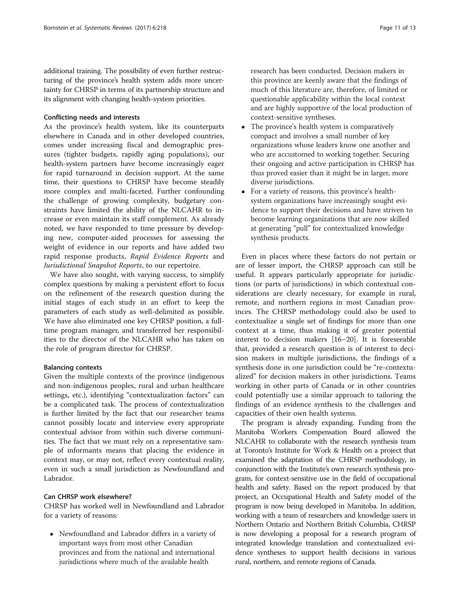additional training. The possibility of even further restructuring of the province's health system adds more uncertainty for CHRSP in terms of its partnership structure and its alignment with changing health-system priorities.

#### Conflicting needs and interests

As the province's health system, like its counterparts elsewhere in Canada and in other developed countries, comes under increasing fiscal and demographic pressures (tighter budgets, rapidly aging populations), our health-system partners have become increasingly eager for rapid turnaround in decision support. At the same time, their questions to CHRSP have become steadily more complex and multi-faceted. Further confounding the challenge of growing complexity, budgetary constraints have limited the ability of the NLCAHR to increase or even maintain its staff complement. As already noted, we have responded to time pressure by developing new, computer-aided processes for assessing the weight of evidence in our reports and have added two rapid response products, Rapid Evidence Reports and Jurisdictional Snapshot Reports, to our repertoire.

We have also sought, with varying success, to simplify complex questions by making a persistent effort to focus on the refinement of the research question during the initial stages of each study in an effort to keep the parameters of each study as well-delimited as possible. We have also eliminated one key CHRSP position, a fulltime program manager, and transferred her responsibilities to the director of the NLCAHR who has taken on the role of program director for CHRSP.

## Balancing contexts

Given the multiple contexts of the province (indigenous and non-indigenous peoples, rural and urban healthcare settings, etc.), identifying "contextualization factors" can be a complicated task. The process of contextualization is further limited by the fact that our researcher teams cannot possibly locate and interview every appropriate contextual advisor from within such diverse communities. The fact that we must rely on a representative sample of informants means that placing the evidence in context may, or may not, reflect every contextual reality, even in such a small jurisdiction as Newfoundland and Labrador.

## Can CHRSP work elsewhere?

CHRSP has worked well in Newfoundland and Labrador for a variety of reasons:

 Newfoundland and Labrador differs in a variety of important ways from most other Canadian provinces and from the national and international jurisdictions where much of the available health

research has been conducted. Decision makers in this province are keenly aware that the findings of much of this literature are, therefore, of limited or questionable applicability within the local context and are highly supportive of the local production of context-sensitive syntheses.

- The province's health system is comparatively compact and involves a small number of key organizations whose leaders know one another and who are accustomed to working together. Securing their ongoing and active participation in CHRSP has thus proved easier than it might be in larger, more diverse jurisdictions.
- For a variety of reasons, this province's healthsystem organizations have increasingly sought evidence to support their decisions and have striven to become learning organizations that are now skilled at generating "pull" for contextualized knowledge synthesis products.

Even in places where these factors do not pertain or are of lesser import, the CHRSP approach can still be useful. It appears particularly appropriate for jurisdictions (or parts of jurisdictions) in which contextual considerations are clearly necessary, for example in rural, remote, and northern regions in most Canadian provinces. The CHRSP methodology could also be used to contextualize a single set of findings for more than one context at a time, thus making it of greater potential interest to decision makers [[16](#page-11-0)–[20](#page-11-0)]. It is foreseeable that, provided a research question is of interest to decision makers in multiple jurisdictions, the findings of a synthesis done in one jurisdiction could be "re-contextualized" for decision makers in other jurisdictions. Teams working in other parts of Canada or in other countries could potentially use a similar approach to tailoring the findings of an evidence synthesis to the challenges and capacities of their own health systems.

The program is already expanding. Funding from the Manitoba Workers Compensation Board allowed the NLCAHR to collaborate with the research synthesis team at Toronto's Institute for Work & Health on a project that examined the adaptation of the CHRSP methodology, in conjunction with the Institute's own research synthesis program, for context-sensitive use in the field of occupational health and safety. Based on the report produced by that project, an Occupational Health and Safety model of the program is now being developed in Manitoba. In addition, working with a team of researchers and knowledge users in Northern Ontario and Northern British Columbia, CHRSP is now developing a proposal for a research program of integrated knowledge translation and contextualized evidence syntheses to support health decisions in various rural, northern, and remote regions of Canada.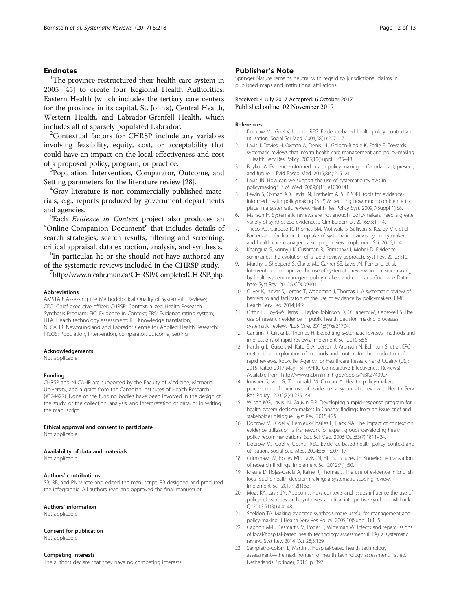## <span id="page-11-0"></span>**Endnotes**

 $1$ The province restructured their health care system in 2005 [[45\]](#page-12-0) to create four Regional Health Authorities: Eastern Health (which includes the tertiary care centers for the province in its capital, St. John's), Central Health, Western Health, and Labrador-Grenfell Health, which includes all of sparsely populated Labrador. <sup>2</sup>

<sup>2</sup>Contextual factors for CHRSP include any variables involving feasibility, equity, cost, or acceptability that could have an impact on the local effectiveness and cost of a proposed policy, program, or practice.

<sup>3</sup>Population, Intervention, Comparator, Outcome, and Setting parameters for the literature review [[28](#page-12-0)].

<sup>4</sup>Gray literature is non-commercially published materials, e.g., reports produced by government departments and agencies.

<sup>5</sup>Each Evidence in Context project also produces an "Online Companion Document" that includes details of search strategies, search results, filtering and screening, critical appraisal, data extraction, analysis, and synthesis. <sup>6</sup>

 ${}^{6}$ In particular, he or she should not have authored any of the systematic reviews included in the CHRSP study. <sup>7</sup>

<http://www.nlcahr.mun.ca/CHRSP/CompletedCHRSP.php>.

#### Abbreviations

AMSTAR: Assessing the Methodological Quality of Systematic Reviews; CEO: Chief executive officer; CHRSP: Contextualized Health Research Synthesis Program; EiC: Evidence in Context; ERS: Evidence rating system; HTA: Health technology assessment; KT: Knowledge translation; NLCAHR: Newfoundland and Labrador Centre for Applied Health Research; PICOS: Population, intervention, comparator, outcome, setting

#### Acknowledgements

Not applicable.

#### Funding

CHRSP and NLCAHR are supported by the Faculty of Medicine, Memorial University, and a grant from the Canadian Institutes of Health Research (#374427). None of the funding bodies have been involved in the design of the study, or the collection, analysis, and interpretation of data, or in writing the manuscript.

#### Ethical approval and consent to participate

Not applicable.

#### Availability of data and materials

Not applicable

#### Authors' contributions

SB, RB, and PN wrote and edited the manuscript. RB designed and produced the infographic. All authors read and approved the final manuscript.

#### Authors' information

Not applicable.

#### Consent for publication

Not applicable.

#### Competing interests

The authors declare that they have no competing interests.

## Publisher's Note

Springer Nature remains neutral with regard to jurisdictional claims in published maps and institutional affiliations.

Received: 4 July 2017 Accepted: 6 October 2017<br>Published online: 02 November 2017

#### References

- 1. Dobrow MJ, Goel V, Upshur REG. Evidence-based health policy: context and utilisation. Social Sci Med. 2004;58(1):207–17.
- 2. Lavis J, Davies H, Oxman A, Denis J-L, Golden-Biddle K, Ferlie E. Towards systematic reviews that inform health care management and policy-making. J Health Serv Res Policy. 2005;10(Suppl 1):35–48.
- Boyko JA. Evidence-informed health policy making in Canada: past, present, and future. J Evid Based Med. 2015;8(4):215–21.
- 4. Lavis JN. How can we support the use of systematic reviews in policymaking? PLoS Med. 2009;6(11):e1000141.
- 5. Lewin S, Oxman AD, Lavis JN, Fretheim A. SUPPORT tools for evidenceinformed health policymaking (STP) 8: deciding how much confidence to place in a systematic review. Health Res Policy Syst. 2009;7(Suppl 1):S8.
- 6. Manson H. Systematic reviews are not enough: policymakers need a greater variety of synthesized evidence. J Clin Epidemiol. 2016;73:11–4.
- 7. Tricco AC, Cardoso R, Thomas SM, Motiwala S, Sullivan S, Kealey MR, et al. Barriers and facilitators to uptake of systematic reviews by policy makers and health care managers: a scoping review. Implement Sci. 2016;11:4.
- 8. Khangura S, Konnyu K, Cushman R, Grimshaw J, Moher D. Evidence summaries: the evolution of a rapid review approach. Syst Rev. 2012;1:10.
- 9. Murthy L, Shepperd S, Clarke MJ, Garner SE, Lavis JN, Perrier L, et al. Interventions to improve the use of systematic reviews in decision-making by health-system managers, policy makers and clinicians. Cochrane Database Syst Rev. 2012;9:CD009401.
- 10. Oliver K, Innvar S, Lorenc T, Woodman J, Thomas J. A systematic review of barriers to and facilitators of the use of evidence by policymakers. BMC Health Serv Res. 2014;14:2.
- 11. Orton L, Lloyd-Williams F, Taylor-Robinson D, O'Flaherty M, Capewell S. The use of research evidence in public health decision making processes: systematic review. PLoS One. 2011;6(7):e21704.
- 12. Ganann R, Ciliska D, Thomas H. Expediting systematic reviews: methods and implications of rapid reviews. Implement Sci. 2010;5:56.
- 13. Hartling L, Guise J-M, Kato E, Anderson J, Aronson N, Belinson S, et al. EPC methods: an exploration of methods and context for the production of rapid reviews. Rockville: Agency for Healthcare Research and Quality (US); 2015. [cited 2017 May 15]. (AHRQ Comparative Effectiveness Reviews). Available from:<http://www.ncbi.nlm.nih.gov/books/NBK274092/>
- 14. Innvaer S, Vist G, Trommald M, Oxman A. Health policy-makers' perceptions of their use of evidence: a systematic review. J Health Serv Res Policy. 2002;7(4):239–44.
- 15. Wilson MG, Lavis JN, Gauvin F-P. Developing a rapid-response program for health system decision-makers in Canada: findings from an issue brief and stakeholder dialogue. Syst Rev. 2015;4:25.
- 16. Dobrow MJ, Goel V, Lemieux-Charles L, Black NA. The impact of context on evidence utilization: a framework for expert groups developing health policy recommendations. Soc Sci Med. 2006 Oct;63(7):1811–24.
- 17. Dobrow MJ, Goel V, Upshur REG. Evidence-based health policy: context and utilisation. Social Scie Med. 2004;58(1):207–17.
- 18. Grimshaw JM, Eccles MP, Lavis JN, Hill SJ, Squires JE. Knowledge translation of research findings. Implement Sci. 2012;7(1):50.
- 19. Kneale D, Rojas-García A, Raine R, Thomas J. The use of evidence in English local public health decision-making: a systematic scoping review. Implement Sci. 2017;12(1):53.
- 20. Moat KA, Lavis JN, Abelson J. How contexts and issues influence the use of policy-relevant research syntheses: a critical interpretive synthesis. Milbank Q. 2013;91(3):604–48.
- 21. Sheldon TA. Making evidence synthesis more useful for management and policy-making. J Health Serv Res Policy. 2005;10(Suppl 1):1–5.
- 22. Gagnon M-P, Desmartis M, Poder T, Witteman W. Effects and repercussions of local/hospital-based health technology assessment (HTA): a systematic review. Syst Rev. 2014 Oct 28;3:129.
- 23. Sampietro-Colom L, Martin J. Hospital-based health technology assessment—the next frontier for health technology assessment. 1st ed. Netherlands: Springer; 2016. p. 397.